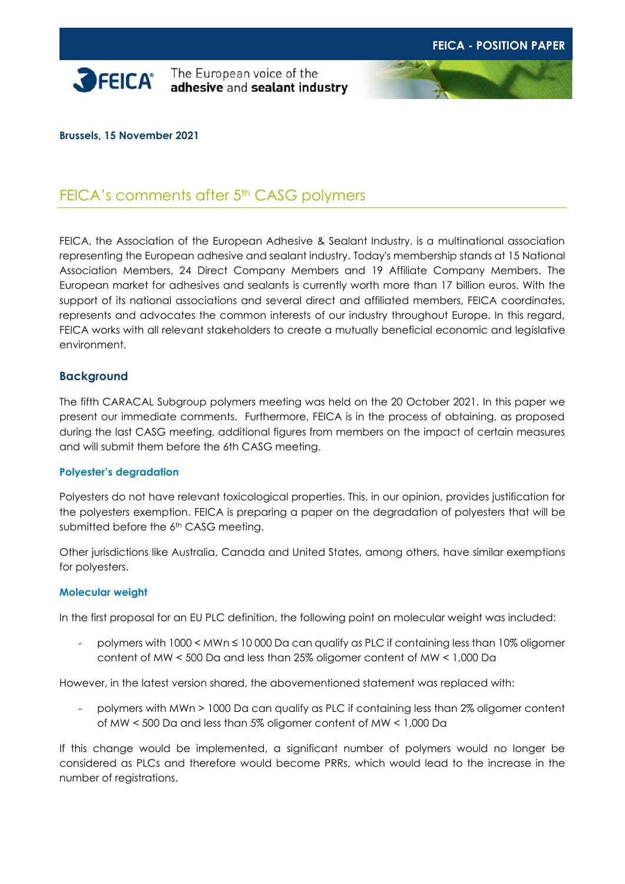

**SPEICA** The European voice of the adhesive and sealant industry

#### **Brussels, 15 November 2021**

# FEICA's comments after 5<sup>th</sup> CASG polymers

FEICA, the Association of the European Adhesive & Sealant Industry, is a multinational association representing the European adhesive and sealant industry. Today's membership stands at 15 National Association Members, 24 Direct Company Members and 19 Affiliate Company Members. The European market for adhesives and sealants is currently worth more than 17 billion euros. With the support of its national associations and several direct and affiliated members, FEICA coordinates, represents and advocates the common interests of our industry throughout Europe. In this regard, FEICA works with all relevant stakeholders to create a mutually beneficial economic and legislative environment.

#### **Background**

The fifth CARACAL Subgroup polymers meeting was held on the 20 October 2021. In this paper we present our immediate comments. Furthermore, FEICA is in the process of obtaining, as proposed during the last CASG meeting, additional figures from members on the impact of certain measures and will submit them before the 6th CASG meeting.

#### **Polyester's degradation**

Polyesters do not have relevant toxicological properties. This, in our opinion, provides justification for the polyesters exemption. FEICA is preparing a paper on the degradation of polyesters that will be submitted before the 6<sup>th</sup> CASG meeting.

Other jurisdictions like Australia, Canada and United States, among others, have similar exemptions for polyesters.

#### **Molecular weight**

In the first proposal for an EU PLC definition, the following point on molecular weight was included:

polymers with 1000 < MWn ≤ 10 000 Da can qualify as PLC if containing less than 10% oligomer content of MW < 500 Da and less than 25% oligomer content of MW < 1,000 Da

However, in the latest version shared, the abovementioned statement was replaced with:

- polymers with MWn > 1000 Da can qualify as PLC if containing less than 2% oligomer content of MW < 500 Da and less than 5% oligomer content of MW < 1,000 Da

If this change would be implemented, a significant number of polymers would no longer be considered as PLCs and therefore would become PRRs, which would lead to the increase in the number of registrations.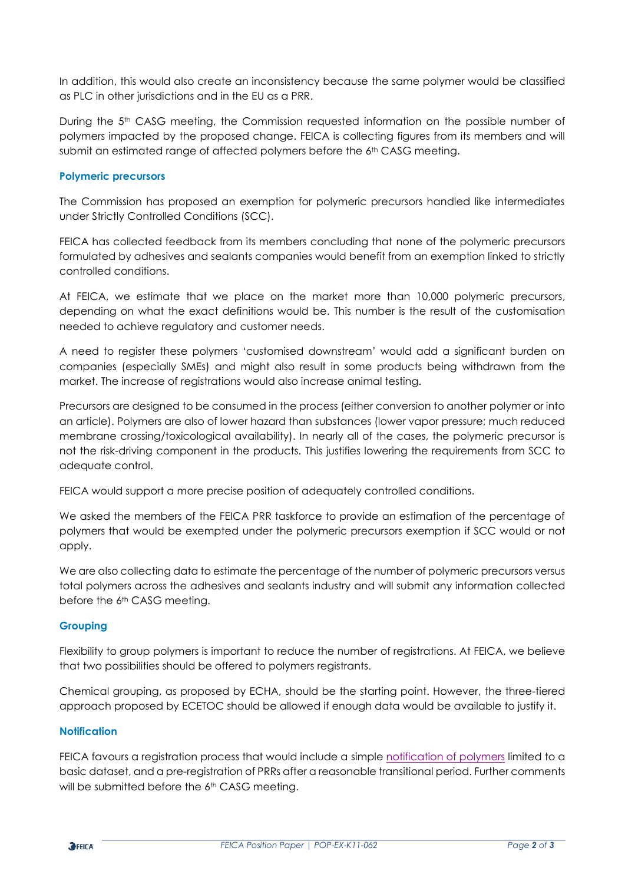In addition, this would also create an inconsistency because the same polymer would be classified as PLC in other jurisdictions and in the EU as a PRR.

During the 5<sup>th</sup> CASG meeting, the Commission requested information on the possible number of polymers impacted by the proposed change. FEICA is collecting figures from its members and will submit an estimated range of affected polymers before the  $6<sup>th</sup>$  CASG meeting.

## **Polymeric precursors**

The Commission has proposed an exemption for polymeric precursors handled like intermediates under Strictly Controlled Conditions (SCC).

FEICA has collected feedback from its members concluding that none of the polymeric precursors formulated by adhesives and sealants companies would benefit from an exemption linked to strictly controlled conditions.

At FEICA, we estimate that we place on the market more than 10,000 polymeric precursors, depending on what the exact definitions would be. This number is the result of the customisation needed to achieve regulatory and customer needs.

A need to register these polymers 'customised downstream' would add a significant burden on companies (especially SMEs) and might also result in some products being withdrawn from the market. The increase of registrations would also increase animal testing.

Precursors are designed to be consumed in the process (either conversion to another polymer or into an article). Polymers are also of lower hazard than substances (lower vapor pressure; much reduced membrane crossing/toxicological availability). In nearly all of the cases, the polymeric precursor is not the risk-driving component in the products. This justifies lowering the requirements from SCC to adequate control.

FEICA would support a more precise position of adequately controlled conditions.

We asked the members of the FEICA PRR taskforce to provide an estimation of the percentage of polymers that would be exempted under the polymeric precursors exemption if SCC would or not apply.

We are also collecting data to estimate the percentage of the number of polymeric precursors versus total polymers across the adhesives and sealants industry and will submit any information collected before the 6th CASG meeting.

## **Grouping**

Flexibility to group polymers is important to reduce the number of registrations. At FEICA, we believe that two possibilities should be offered to polymers registrants.

Chemical grouping, as proposed by ECHA, should be the starting point. However, the three-tiered approach proposed by ECETOC should be allowed if enough data would be available to justify it.

## **Notification**

FEICA favours a registration process that would include a simple [notification of polymers](https://www.feica.eu/information-center/all-information-centre/preview/1214/defining-reasonable-safe-and-efficient-system-notification-polymers?id=82fdf22f-cb5f-4e76-a70e-512a616f5b0c&filename=Defining+a+reasonable%2C+safe+and+efficient+system+for+the+notification+of+polymers.pdf) limited to a basic dataset, and a pre-registration of PRRs after a reasonable transitional period. Further comments will be submitted before the 6<sup>th</sup> CASG meeting.